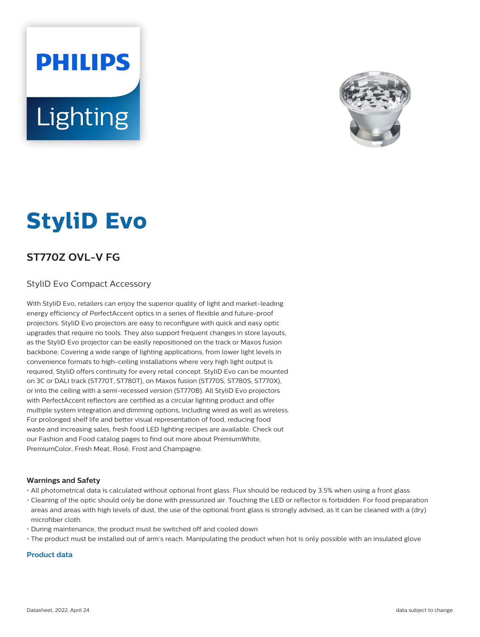# **PHILIPS Lighting**



# **StyliD Evo**

# **ST770Z OVL-V FG**

## StyliD Evo Compact Accessory

With StyliD Evo, retailers can enjoy the superior quality of light and market-leading energy efficiency of PerfectAccent optics in a series of flexible and future-proof projectors. StyliD Evo projectors are easy to reconfigure with quick and easy optic upgrades that require no tools. They also support frequent changes in store layouts, as the StyliD Evo projector can be easily repositioned on the track or Maxos fusion backbone. Covering a wide range of lighting applications, from lower light levels in convenience formats to high-ceiling installations where very high light output is required, StyliD offers continuity for every retail concept. StyliD Evo can be mounted on 3C or DALI track (ST770T, ST780T), on Maxos fusion (ST770S, ST780S, ST770X), or into the ceiling with a semi-recessed version (ST770B). All StyliD Evo projectors with PerfectAccent reflectors are certified as a circular lighting product and offer multiple system integration and dimming options, including wired as well as wireless. For prolonged shelf life and better visual representation of food, reducing food waste and increasing sales, fresh food LED lighting recipes are available. Check out our Fashion and Food catalog pages to find out more about PremiumWhite, PremiumColor, Fresh Meat, Rosé, Frost and Champagne.

#### **Warnings and Safety**

- All photometrical data is calculated without optional front glass. Flux should be reduced by 3.5% when using a front glass
- Cleaning of the optic should only be done with pressurized air. Touching the LED or reflector is forbidden. For food preparation areas and areas with high levels of dust, the use of the optional front glass is strongly advised, as it can be cleaned with a (dry) microfiber cloth.
- During maintenance, the product must be switched off and cooled down
- The product must be installed out of arm's reach. Manipulating the product when hot is only possible with an insulated glove

### **Product data**